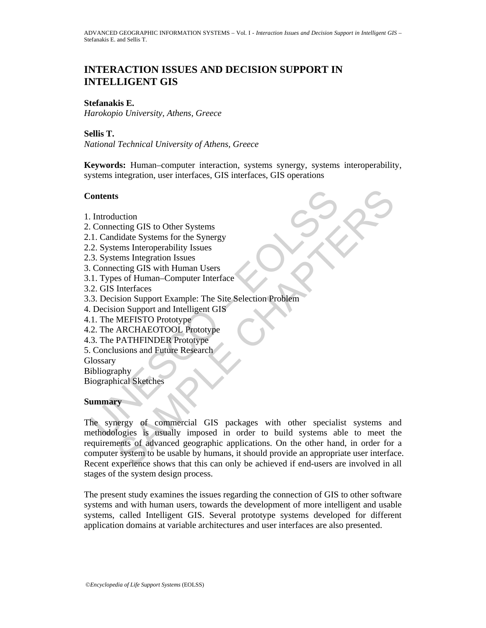# **INTERACTION ISSUES AND DECISION SUPPORT IN INTELLIGENT GIS**

### **Stefanakis E.**

*Harokopio University, Athens, Greece* 

**Sellis T.** 

*National Technical University of Athens, Greece* 

**Keywords:** Human–computer interaction, systems synergy, systems interoperability, systems integration, user interfaces, GIS interfaces, GIS operations

### **Contents**

- 1. Introduction
- 2. Connecting GIS to Other Systems
- 2.1. Candidate Systems for the Synergy
- 2.2. Systems Interoperability Issues
- 2.3. Systems Integration Issues
- 3. Connecting GIS with Human Users
- 3.1. Types of Human–Computer Interface
- 3.2. GIS Interfaces
- 3.3. Decision Support Example: The Site Selection Problem
- 4. Decision Support and Intelligent GIS
- 4.1. The MEFISTO Prototype
- 4.2. The ARCHAEOTOOL Prototype
- 4.3. The PATHFINDER Prototype
- 5. Conclusions and Future Research

**Glossary** 

**Bibliography** 

Biographical Sketches

### **Summary**

Connecting GIS to Other Systems<br>
1. Connecting GIS to Other Systems<br>
1. Candidate Systems for the Synergy<br>
2. Systems Interoperability Issues<br>
3. Systems Interoperability Issues<br>
3. Connecting GIS with Human Users<br>
1. Type S<br>
Succion<br>
External GIS to Other Systems<br>
didate Systems for the Synergy<br>
ems Interperability Issues<br>
ems Integration Issues<br>
Interfaces<br>
Incention Support Example: The Site Selection Problem<br>
MEFISTO Prototype<br>
ARCHAEOTO The synergy of commercial GIS packages with other specialist systems and methodologies is usually imposed in order to build systems able to meet the requirements of advanced geographic applications. On the other hand, in order for a computer system to be usable by humans, it should provide an appropriate user interface. Recent experience shows that this can only be achieved if end-users are involved in all stages of the system design process.

The present study examines the issues regarding the connection of GIS to other software systems and with human users, towards the development of more intelligent and usable systems, called Intelligent GIS. Several prototype systems developed for different application domains at variable architectures and user interfaces are also presented.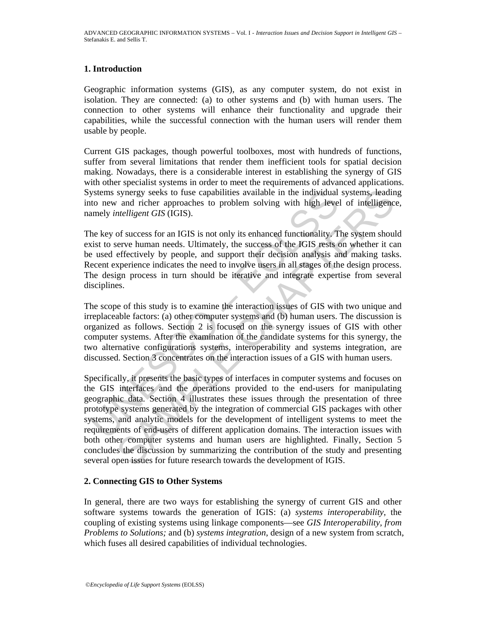## **1. Introduction**

Geographic information systems (GIS), as any computer system, do not exist in isolation. They are connected: (a) to other systems and (b) with human users. The connection to other systems will enhance their functionality and upgrade their capabilities, while the successful connection with the human users will render them usable by people.

Current GIS packages, though powerful toolboxes, most with hundreds of functions, suffer from several limitations that render them inefficient tools for spatial decision making. Nowadays, there is a considerable interest in establishing the synergy of GIS with other specialist systems in order to meet the requirements of advanced applications. Systems synergy seeks to fuse capabilities available in the individual systems, leading into new and richer approaches to problem solving with high level of intelligence, namely *intelligent GIS* (IGIS).

The key of success for an IGIS is not only its enhanced functionality. The system should exist to serve human needs. Ultimately, the success of the IGIS rests on whether it can be used effectively by people, and support their decision analysis and making tasks. Recent experience indicates the need to involve users in all stages of the design process. The design process in turn should be iterative and integrate expertise from several disciplines.

The scope of this study is to examine the interaction issues of GIS with two unique and irreplaceable factors: (a) other computer systems and (b) human users. The discussion is organized as follows. Section 2 is focused on the synergy issues of GIS with other computer systems. After the examination of the candidate systems for this synergy, the two alternative configurations systems, interoperability and systems integration, are discussed. Section 3 concentrates on the interaction issues of a GIS with human users.

ystems synergy seeks to fuse capabilities available in the individual<br>to new and richer approaches to problem solving with high leve<br>amely *intelligent GIS* (IGIS).<br>the key of success for an IGIS is not only its enhanced f synergy seeks to fuse capabilities available in the individual systems, leadint and richer approaches to problem solving with high level of intelligence *and richet approaches* to problem solving with high level of intelli Specifically, it presents the basic types of interfaces in computer systems and focuses on the GIS interfaces and the operations provided to the end-users for manipulating geographic data. Section 4 illustrates these issues through the presentation of three prototype systems generated by the integration of commercial GIS packages with other systems, and analytic models for the development of intelligent systems to meet the requirements of end-users of different application domains. The interaction issues with both other computer systems and human users are highlighted. Finally, Section 5 concludes the discussion by summarizing the contribution of the study and presenting several open issues for future research towards the development of IGIS.

## **2. Connecting GIS to Other Systems**

In general, there are two ways for establishing the synergy of current GIS and other software systems towards the generation of IGIS: (a) *systems interoperability*, the coupling of existing systems using linkage components—see *GIS Interoperability, from Problems to Solutions;* and (b) *systems integration*, design of a new system from scratch, which fuses all desired capabilities of individual technologies.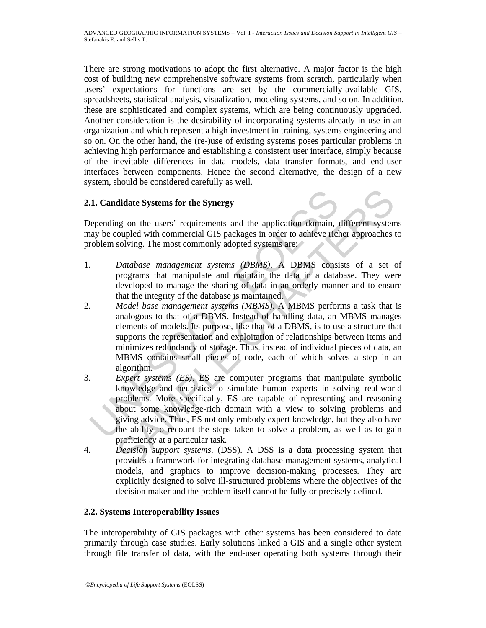There are strong motivations to adopt the first alternative. A major factor is the high cost of building new comprehensive software systems from scratch, particularly when users' expectations for functions are set by the commercially-available GIS, spreadsheets, statistical analysis, visualization, modeling systems, and so on. In addition, these are sophisticated and complex systems, which are being continuously upgraded. Another consideration is the desirability of incorporating systems already in use in an organization and which represent a high investment in training, systems engineering and so on. On the other hand, the (re-)use of existing systems poses particular problems in achieving high performance and establishing a consistent user interface, simply because of the inevitable differences in data models, data transfer formats, and end-user interfaces between components. Hence the second alternative, the design of a new system, should be considered carefully as well.

## **2.1. Candidate Systems for the Synergy**

Depending on the users' requirements and the application domain, different systems may be coupled with commercial GIS packages in order to achieve richer approaches to problem solving. The most commonly adopted systems are:

- 1. *Database management systems (DBMS)*. A DBMS consists of a set of programs that manipulate and maintain the data in a database. They were developed to manage the sharing of data in an orderly manner and to ensure that the integrity of the database is maintained.
- **1. Candidate Systems for the Synergy**<br>
epending on the users' requirements and the application domain, any be coupled with commercial GIS packages in order to achieve rict<br>
roblem solving. The most commonly adopted syste didate Systems for the Synergy<br>grom on the users' requirements and the application domain, different system<br>couled with commercial GIS packages in order to achieve richer approaches t<br>solving. The most commonly adopted sys 2. *Model base management systems (MBMS)*. A MBMS performs a task that is analogous to that of a DBMS. Instead of handling data, an MBMS manages elements of models. Its purpose, like that of a DBMS, is to use a structure that supports the representation and exploitation of relationships between items and minimizes redundancy of storage. Thus, instead of individual pieces of data, an MBMS contains small pieces of code, each of which solves a step in an algorithm.
- 3. *Expert systems (ES)*. ES are computer programs that manipulate symbolic knowledge and heuristics to simulate human experts in solving real-world problems. More specifically, ES are capable of representing and reasoning about some knowledge-rich domain with a view to solving problems and giving advice. Thus, ES not only embody expert knowledge, but they also have the ability to recount the steps taken to solve a problem, as well as to gain proficiency at a particular task.
- 4. *Decision support systems*. (DSS). A DSS is a data processing system that provides a framework for integrating database management systems, analytical models, and graphics to improve decision-making processes. They are explicitly designed to solve ill-structured problems where the objectives of the decision maker and the problem itself cannot be fully or precisely defined.

## **2.2. Systems Interoperability Issues**

The interoperability of GIS packages with other systems has been considered to date primarily through case studies. Early solutions linked a GIS and a single other system through file transfer of data, with the end-user operating both systems through their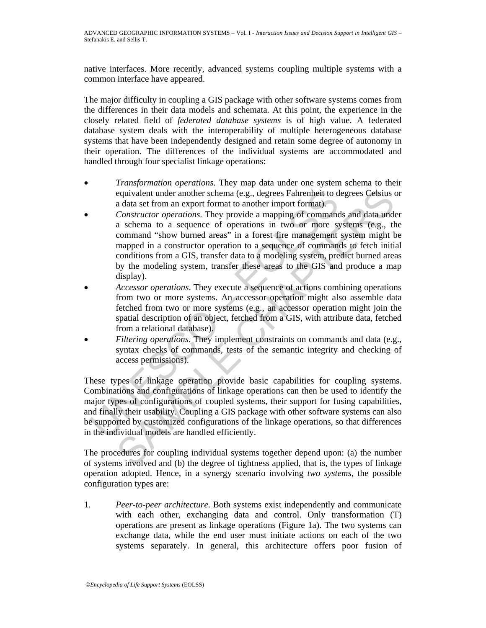native interfaces. More recently, advanced systems coupling multiple systems with a common interface have appeared.

The major difficulty in coupling a GIS package with other software systems comes from the differences in their data models and schemata. At this point, the experience in the closely related field of *federated database systems* is of high value. A federated database system deals with the interoperability of multiple heterogeneous database systems that have been independently designed and retain some degree of autonomy in their operation. The differences of the individual systems are accommodated and handled through four specialist linkage operations:

- *Transformation operations*. They map data under one system schema to their equivalent under another schema (e.g., degrees Fahrenheit to degrees Celsius or a data set from an export format to another import format).
- equivalent under another schema (e.g., degrees Fahrenheit to d<br>a data set from an export format to another import format).<br>Constructor operations. They provide a mapping of command<br>a schema to a sequence of operations in t equivalent under another schema (e.g., degrees Fahrenheit to degrees Celsius a<br>a data at from an export format to another import format).<br>Constructor operations. They provide a mapping of commands and data unde<br>a schema to • *Constructor operations*. They provide a mapping of commands and data under a schema to a sequence of operations in two or more systems (e.g., the command "show burned areas" in a forest fire management system might be mapped in a constructor operation to a sequence of commands to fetch initial conditions from a GIS, transfer data to a modeling system, predict burned areas by the modeling system, transfer these areas to the GIS and produce a map display).
- *Accessor operations*. They execute a sequence of actions combining operations from two or more systems. An accessor operation might also assemble data fetched from two or more systems (e.g., an accessor operation might join the spatial description of an object, fetched from a GIS, with attribute data, fetched from a relational database).
- *Filtering operations*. They implement constraints on commands and data (e.g., syntax checks of commands, tests of the semantic integrity and checking of access permissions).

These types of linkage operation provide basic capabilities for coupling systems. Combinations and configurations of linkage operations can then be used to identify the major types of configurations of coupled systems, their support for fusing capabilities, and finally their usability. Coupling a GIS package with other software systems can also be supported by customized configurations of the linkage operations, so that differences in the individual models are handled efficiently.

The procedures for coupling individual systems together depend upon: (a) the number of systems involved and (b) the degree of tightness applied, that is, the types of linkage operation adopted. Hence, in a synergy scenario involving *two systems*, the possible configuration types are:

1. *Peer-to-peer architecture*. Both systems exist independently and communicate with each other, exchanging data and control. Only transformation (T) operations are present as linkage operations (Figure 1a). The two systems can exchange data, while the end user must initiate actions on each of the two systems separately. In general, this architecture offers poor fusion of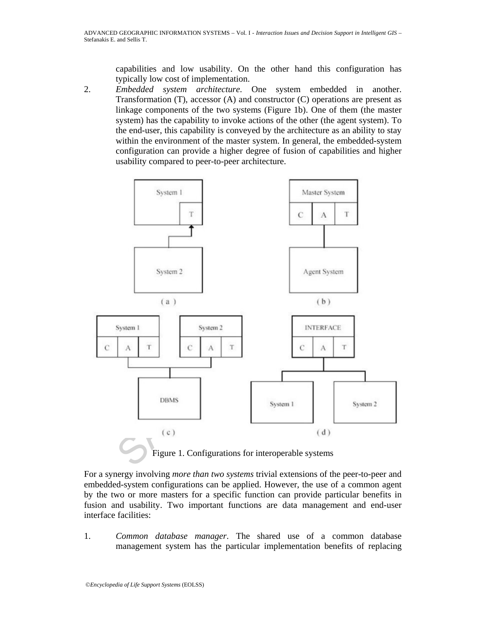capabilities and low usability. On the other hand this configuration has typically low cost of implementation.

2. *Embedded system architecture*. One system embedded in another. Transformation (T), accessor (A) and constructor (C) operations are present as linkage components of the two systems (Figure 1b). One of them (the master system) has the capability to invoke actions of the other (the agent system). To the end-user, this capability is conveyed by the architecture as an ability to stay within the environment of the master system. In general, the embedded-system configuration can provide a higher degree of fusion of capabilities and higher usability compared to peer-to-peer architecture.



For a synergy involving *more than two systems* trivial extensions of the peer-to-peer and embedded-system configurations can be applied. However, the use of a common agent by the two or more masters for a specific function can provide particular benefits in fusion and usability. Two important functions are data management and end-user interface facilities:

1. *Common database manager*. The shared use of a common database management system has the particular implementation benefits of replacing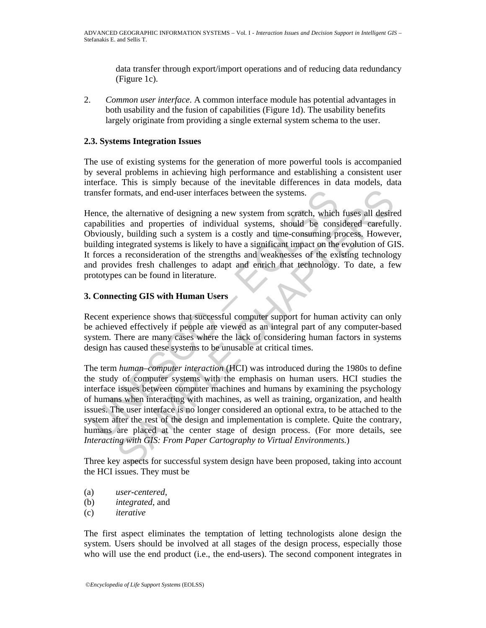data transfer through export/import operations and of reducing data redundancy (Figure 1c).

2. *Common user interface*. A common interface module has potential advantages in both usability and the fusion of capabilities (Figure 1d). The usability benefits largely originate from providing a single external system schema to the user.

## **2.3. Systems Integration Issues**

The use of existing systems for the generation of more powerful tools is accompanied by several problems in achieving high performance and establishing a consistent user interface. This is simply because of the inevitable differences in data models, data transfer formats, and end-user interfaces between the systems.

Hence, the alternative of designing a new system from scratch, which fuses all desired capabilities and properties of individual systems, should be considered carefully. Obviously, building such a system is a costly and time-consuming process. However, building integrated systems is likely to have a significant impact on the evolution of GIS. It forces a reconsideration of the strengths and weaknesses of the existing technology and provides fresh challenges to adapt and enrich that technology. To date, a few prototypes can be found in literature.

## **3. Connecting GIS with Human Users**

Recent experience shows that successful computer support for human activity can only be achieved effectively if people are viewed as an integral part of any computer-based system. There are many cases where the lack of considering human factors in systems design has caused these systems to be unusable at critical times.

ansfer formats, and end-user interfaces between the systems.<br>
fence, the alternative of designing a new system from scratch, which<br>
papabilities and properties of individual systems, should be cons<br>
blue consuming pullding formats, and end-user interfaces between the systems.<br>
formats, and end-user interfaces between the systems.<br>
the alternative of designing a new system from scratch, which fuses all desire<br>
integrated systems is a costly a The term *human–computer interaction* (HCI) was introduced during the 1980s to define the study of computer systems with the emphasis on human users. HCI studies the interface issues between computer machines and humans by examining the psychology of humans when interacting with machines, as well as training, organization, and health issues. The user interface is no longer considered an optional extra, to be attached to the system after the rest of the design and implementation is complete. Quite the contrary, humans are placed at the center stage of design process. (For more details, see *Interacting with GIS: From Paper Cartography to Virtual Environments.*)

Three key aspects for successful system design have been proposed, taking into account the HCI issues. They must be

- (a) *user-centered*,
- (b) *integrated*, and
- (c) *iterative*

The first aspect eliminates the temptation of letting technologists alone design the system. Users should be involved at all stages of the design process, especially those who will use the end product (i.e., the end-users). The second component integrates in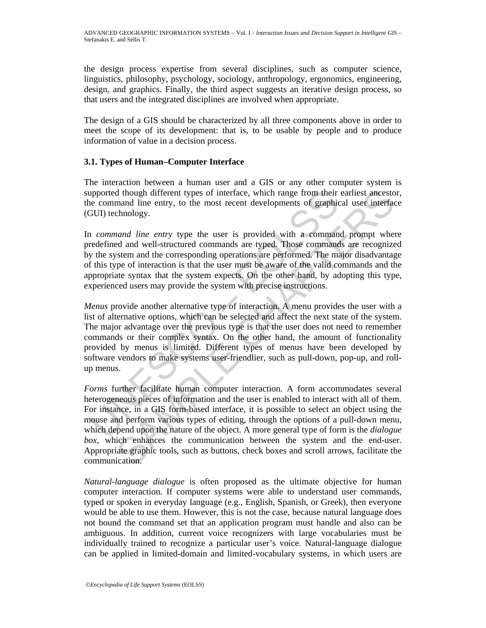the design process expertise from several disciplines, such as computer science, linguistics, philosophy, psychology, sociology, anthropology, ergonomics, engineering, design, and graphics. Finally, the third aspect suggests an iterative design process, so that users and the integrated disciplines are involved when appropriate.

The design of a GIS should be characterized by all three components above in order to meet the scope of its development: that is, to be usable by people and to produce information of value in a decision process.

## **3.1. Types of Human–Computer Interface**

The interaction between a human user and a GIS or any other computer system is supported though different types of interface, which range from their earliest ancestor, the command line entry, to the most recent developments of graphical user interface (GUI) technology.

In *command line entry* type the user is provided with a command prompt where predefined and well-structured commands are typed. Those commands are recognized by the system and the corresponding operations are performed. The major disadvantage of this type of interaction is that the user must be aware of the valid commands and the appropriate syntax that the system expects. On the other hand, by adopting this type, experienced users may provide the system with precise instructions.

upported though different types of interface, which range from their<br>command line entry, to the most recent developments of graphic<br>GUI) technology.<br>1 *command line entry* type the user is provided with a comman<br>redefined *Menus* provide another alternative type of interaction. A menu provides the user with a list of alternative options, which can be selected and affect the next state of the system. The major advantage over the previous type is that the user does not need to remember commands or their complex syntax. On the other hand, the amount of functionality provided by menus is limited. Different types of menus have been developed by software vendors to make systems user-friendlier, such as pull-down, pop-up, and rollup menus.

d though different types of interface, which range from their earliest ancesto<br>hand line entry, to the most recent developments of graphical user interface<br>chandogy.<br>However, the most recent developments of graphical user *Forms* further facilitate human computer interaction. A form accommodates several heterogeneous pieces of information and the user is enabled to interact with all of them. For instance, in a GIS form-based interface, it is possible to select an object using the mouse and perform various types of editing, through the options of a pull-down menu, which depend upon the nature of the object. A more general type of form is the *dialogue box*, which enhances the communication between the system and the end-user. Appropriate graphic tools, such as buttons, check boxes and scroll arrows, facilitate the communication.

*Natural-language dialogue* is often proposed as the ultimate objective for human computer interaction. If computer systems were able to understand user commands, typed or spoken in everyday language (e.g., English, Spanish, or Greek), then everyone would be able to use them. However, this is not the case, because natural language does not bound the command set that an application program must handle and also can be ambiguous. In addition, current voice recognizers with large vocabularies must be individually trained to recognize a particular user's voice. Natural-language dialogue can be applied in limited-domain and limited-vocabulary systems, in which users are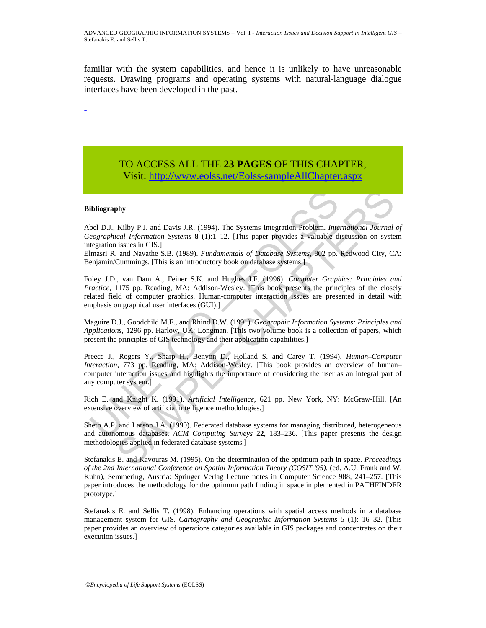familiar with the system capabilities, and hence it is unlikely to have unreasonable requests. Drawing programs and operating systems with natural-language dialogue interfaces have been developed in the past.

- -
- -

# TO ACCESS ALL THE **23 PAGES** OF THIS CHAPTER, Visit: [http://www.eolss.net/Eolss-sampleAllChapter.aspx](https://www.eolss.net/ebooklib/sc_cart.aspx?File=E6-72-02-04)

#### **Bibliography**

Abel D.J., Kilby P.J. and Davis J.R. (1994). The Systems Integration Problem. *International Journal of Geographical Information Systems* **8** (1):1–12. [This paper provides a valuable discussion on system integration issues in GIS.]

Elmasri R. and Navathe S.B. (1989). *Fundamentals of Database Systems*, 802 pp. Redwood City, CA: Benjamin/Cummings. [This is an introductory book on database systems.]

Foley J.D., van Dam A., Feiner S.K. and Hughes J.F. (1996). *Computer Graphics: Principles and Practice*, 1175 pp. Reading, MA: Addison-Wesley. [This book presents the principles of the closely related field of computer graphics. Human-computer interaction issues are presented in detail with emphasis on graphical user interfaces (GUI).]

Maguire D.J., Goodchild M.F., and Rhind D.W. (1991). *Geographic Information Systems: Principles and Applications*, 1296 pp. Harlow, UK: Longman. [This two volume book is a collection of papers, which present the principles of GIS technology and their application capabilities.]

**ibliography**<br>
bel D.J., Kilby P.J. and Davis J.R. (1994). The Systems Integration Problem. *Inteographical Information Systems* 8 (1):1-12. [This paper provides a valuable digration issues in GIS.]<br>
marsin R. and Navarde **SAMPLE CONDITY:** The Systems Integration Problem. *International Journal colal Information* Systems 8 (1):1-12. [This paper provides a valuable discussion on systems and Discussion GIS1. [2015] is such and Navathe S.B. ( Preece J., Rogers Y., Sharp H., Benyon D., Holland S. and Carey T. (1994). *Human–Computer Interaction*, 773 pp. Reading, MA: Addison-Wesley. [This book provides an overview of human– computer interaction issues and highlights the importance of considering the user as an integral part of any computer system.]

Rich E. and Knight K. (1991). *Artificial Intelligence*, 621 pp. New York, NY: McGraw-Hill. [An extensive overview of artificial intelligence methodologies.]

Sheth A.P. and Larson J.A. (1990). Federated database systems for managing distributed, heterogeneous and autonomous databases. *ACM Computing Surveys* **22**, 183–236. [This paper presents the design methodologies applied in federated database systems.]

Stefanakis E. and Kavouras M. (1995). On the determination of the optimum path in space. *Proceedings of the 2nd International Conference on Spatial Information Theory (COSIT '95),* (ed. A.U. Frank and W. Kuhn), Semmering, Austria: Springer Verlag Lecture notes in Computer Science 988, 241–257. [This paper introduces the methodology for the optimum path finding in space implemented in PATHFINDER prototype.]

Stefanakis E. and Sellis T. (1998). Enhancing operations with spatial access methods in a database management system for GIS. *Cartography and Geographic Information Systems* 5 (1): 16–32. [This paper provides an overview of operations categories available in GIS packages and concentrates on their execution issues.]